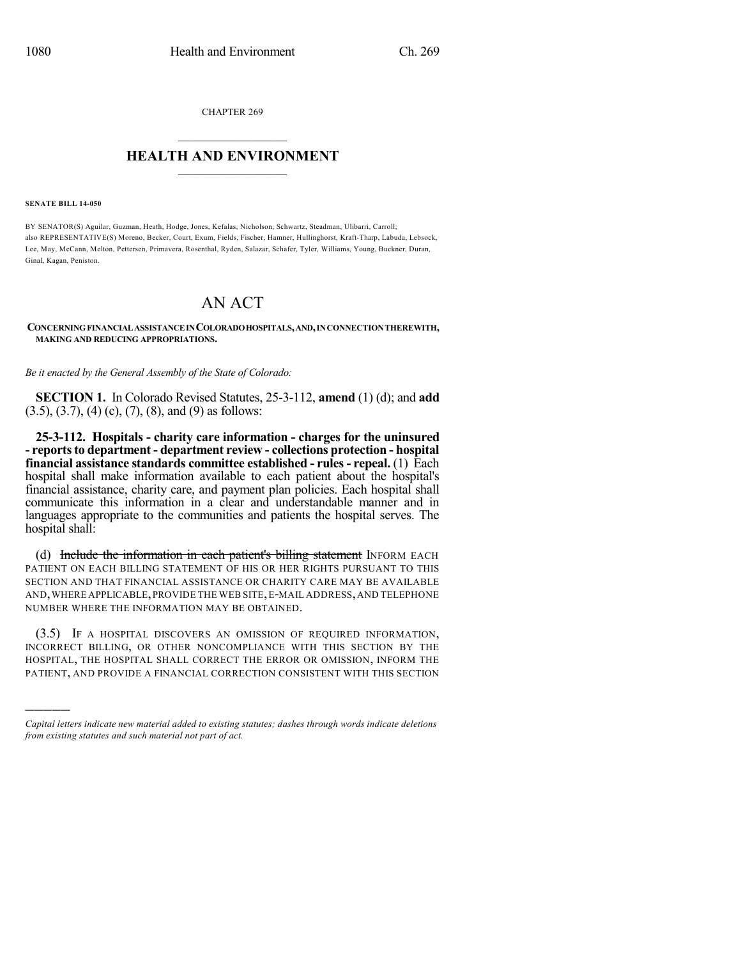CHAPTER 269  $\overline{\phantom{a}}$  . The set of the set of the set of the set of the set of the set of the set of the set of the set of the set of the set of the set of the set of the set of the set of the set of the set of the set of the set o

## **HEALTH AND ENVIRONMENT**  $\_$

**SENATE BILL 14-050**

)))))

BY SENATOR(S) Aguilar, Guzman, Heath, Hodge, Jones, Kefalas, Nicholson, Schwartz, Steadman, Ulibarri, Carroll; also REPRESENTATIVE(S) Moreno, Becker, Court, Exum, Fields, Fischer, Hamner, Hullinghorst, Kraft-Tharp, Labuda, Lebsock, Lee, May, McCann, Melton, Pettersen, Primavera, Rosenthal, Ryden, Salazar, Schafer, Tyler, Williams, Young, Buckner, Duran, Ginal, Kagan, Peniston.

# AN ACT

#### **CONCERNINGFINANCIALASSISTANCEINCOLORADOHOSPITALS,AND,INCONNECTIONTHEREWITH, MAKING AND REDUCING APPROPRIATIONS.**

*Be it enacted by the General Assembly of the State of Colorado:*

**SECTION 1.** In Colorado Revised Statutes, 25-3-112, **amend** (1) (d); and **add**  $(3.5), (3.7), (4)$  (c),  $(7), (8),$  and  $(9)$  as follows:

**25-3-112. Hospitals - charity care information - charges for the uninsured - reportsto department - department review - collections protection - hospital financial assistance standards committee established - rules- repeal.** (1) Each hospital shall make information available to each patient about the hospital's financial assistance, charity care, and payment plan policies. Each hospital shall communicate this information in a clear and understandable manner and in languages appropriate to the communities and patients the hospital serves. The hospital shall:

(d) Include the information in each patient's billing statement INFORM EACH PATIENT ON EACH BILLING STATEMENT OF HIS OR HER RIGHTS PURSUANT TO THIS SECTION AND THAT FINANCIAL ASSISTANCE OR CHARITY CARE MAY BE AVAILABLE AND,WHERE APPLICABLE,PROVIDE THE WEB SITE,E-MAIL ADDRESS,AND TELEPHONE NUMBER WHERE THE INFORMATION MAY BE OBTAINED.

(3.5) IF A HOSPITAL DISCOVERS AN OMISSION OF REQUIRED INFORMATION, INCORRECT BILLING, OR OTHER NONCOMPLIANCE WITH THIS SECTION BY THE HOSPITAL, THE HOSPITAL SHALL CORRECT THE ERROR OR OMISSION, INFORM THE PATIENT, AND PROVIDE A FINANCIAL CORRECTION CONSISTENT WITH THIS SECTION

*Capital letters indicate new material added to existing statutes; dashes through words indicate deletions from existing statutes and such material not part of act.*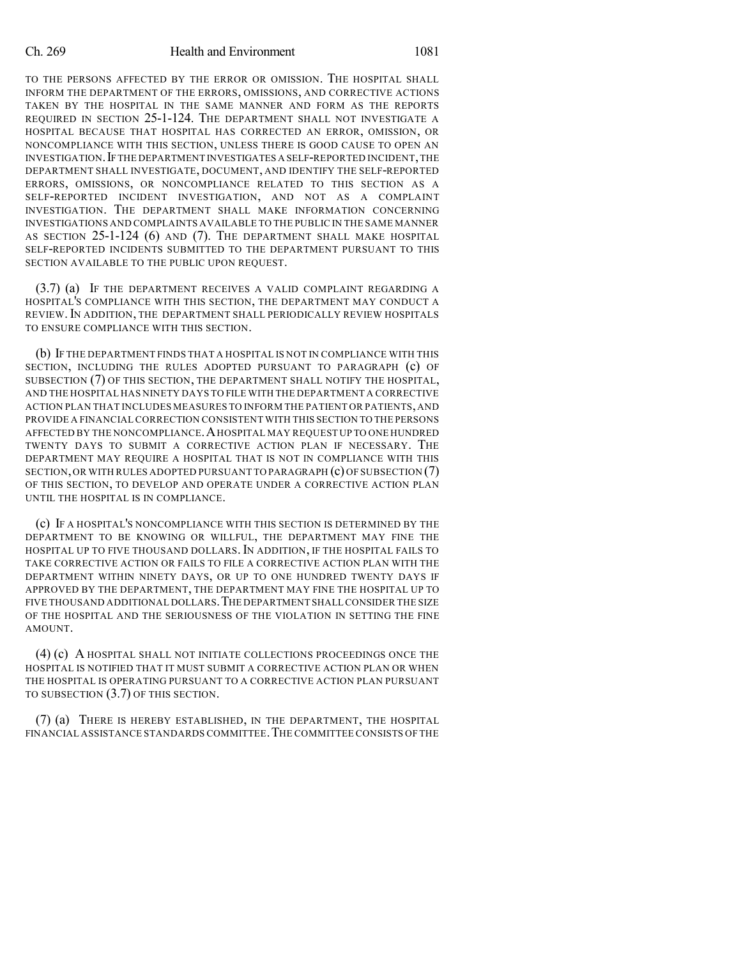#### Ch. 269 Health and Environment 1081

TO THE PERSONS AFFECTED BY THE ERROR OR OMISSION. THE HOSPITAL SHALL INFORM THE DEPARTMENT OF THE ERRORS, OMISSIONS, AND CORRECTIVE ACTIONS TAKEN BY THE HOSPITAL IN THE SAME MANNER AND FORM AS THE REPORTS REQUIRED IN SECTION 25-1-124. THE DEPARTMENT SHALL NOT INVESTIGATE A HOSPITAL BECAUSE THAT HOSPITAL HAS CORRECTED AN ERROR, OMISSION, OR NONCOMPLIANCE WITH THIS SECTION, UNLESS THERE IS GOOD CAUSE TO OPEN AN INVESTIGATION.IFTHE DEPARTMENT INVESTIGATES A SELF-REPORTED INCIDENT,THE DEPARTMENT SHALL INVESTIGATE, DOCUMENT, AND IDENTIFY THE SELF-REPORTED ERRORS, OMISSIONS, OR NONCOMPLIANCE RELATED TO THIS SECTION AS A SELF-REPORTED INCIDENT INVESTIGATION, AND NOT AS A COMPLAINT INVESTIGATION. THE DEPARTMENT SHALL MAKE INFORMATION CONCERNING INVESTIGATIONS AND COMPLAINTS AVAILABLE TO THE PUBLIC IN THE SAME MANNER AS SECTION 25-1-124 (6) AND (7). THE DEPARTMENT SHALL MAKE HOSPITAL SELF-REPORTED INCIDENTS SUBMITTED TO THE DEPARTMENT PURSUANT TO THIS SECTION AVAILABLE TO THE PUBLIC UPON REQUEST.

(3.7) (a) IF THE DEPARTMENT RECEIVES A VALID COMPLAINT REGARDING A HOSPITAL'S COMPLIANCE WITH THIS SECTION, THE DEPARTMENT MAY CONDUCT A REVIEW.IN ADDITION, THE DEPARTMENT SHALL PERIODICALLY REVIEW HOSPITALS TO ENSURE COMPLIANCE WITH THIS SECTION.

(b) IF THE DEPARTMENT FINDS THAT A HOSPITAL IS NOT IN COMPLIANCE WITH THIS SECTION, INCLUDING THE RULES ADOPTED PURSUANT TO PARAGRAPH (c) OF SUBSECTION (7) OF THIS SECTION, THE DEPARTMENT SHALL NOTIFY THE HOSPITAL, AND THE HOSPITAL HAS NINETY DAYS TO FILE WITH THE DEPARTMENT A CORRECTIVE ACTION PLAN THAT INCLUDES MEASURES TO INFORM THE PATIENT OR PATIENTS,AND PROVIDE A FINANCIAL CORRECTION CONSISTENT WITH THIS SECTION TO THE PERSONS AFFECTED BY THE NONCOMPLIANCE.AHOSPITAL MAY REQUEST UP TO ONE HUNDRED TWENTY DAYS TO SUBMIT A CORRECTIVE ACTION PLAN IF NECESSARY. THE DEPARTMENT MAY REQUIRE A HOSPITAL THAT IS NOT IN COMPLIANCE WITH THIS SECTION,OR WITH RULES ADOPTED PURSUANT TO PARAGRAPH (c) OF SUBSECTION (7) OF THIS SECTION, TO DEVELOP AND OPERATE UNDER A CORRECTIVE ACTION PLAN UNTIL THE HOSPITAL IS IN COMPLIANCE.

(c) IF A HOSPITAL'S NONCOMPLIANCE WITH THIS SECTION IS DETERMINED BY THE DEPARTMENT TO BE KNOWING OR WILLFUL, THE DEPARTMENT MAY FINE THE HOSPITAL UP TO FIVE THOUSAND DOLLARS.IN ADDITION, IF THE HOSPITAL FAILS TO TAKE CORRECTIVE ACTION OR FAILS TO FILE A CORRECTIVE ACTION PLAN WITH THE DEPARTMENT WITHIN NINETY DAYS, OR UP TO ONE HUNDRED TWENTY DAYS IF APPROVED BY THE DEPARTMENT, THE DEPARTMENT MAY FINE THE HOSPITAL UP TO FIVE THOUSAND ADDITIONAL DOLLARS.THE DEPARTMENT SHALL CONSIDER THE SIZE OF THE HOSPITAL AND THE SERIOUSNESS OF THE VIOLATION IN SETTING THE FINE AMOUNT.

(4) (c) A HOSPITAL SHALL NOT INITIATE COLLECTIONS PROCEEDINGS ONCE THE HOSPITAL IS NOTIFIED THAT IT MUST SUBMIT A CORRECTIVE ACTION PLAN OR WHEN THE HOSPITAL IS OPERATING PURSUANT TO A CORRECTIVE ACTION PLAN PURSUANT TO SUBSECTION (3.7) OF THIS SECTION.

(7) (a) THERE IS HEREBY ESTABLISHED, IN THE DEPARTMENT, THE HOSPITAL FINANCIAL ASSISTANCE STANDARDS COMMITTEE.THE COMMITTEE CONSISTS OF THE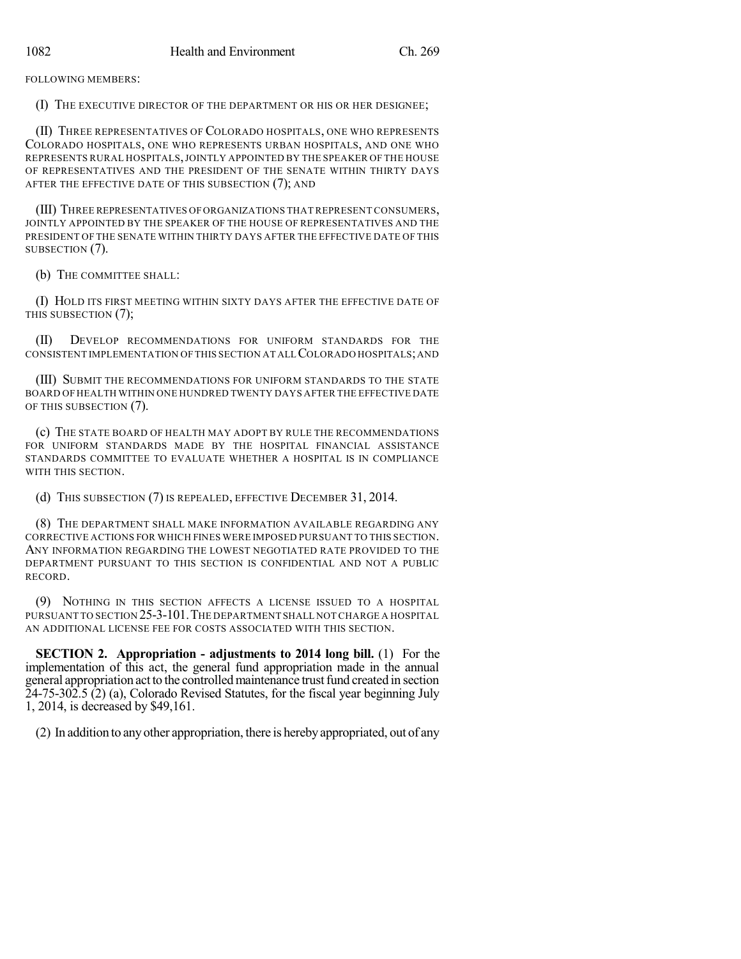FOLLOWING MEMBERS:

(I) THE EXECUTIVE DIRECTOR OF THE DEPARTMENT OR HIS OR HER DESIGNEE;

(II) THREE REPRESENTATIVES OF COLORADO HOSPITALS, ONE WHO REPRESENTS COLORADO HOSPITALS, ONE WHO REPRESENTS URBAN HOSPITALS, AND ONE WHO REPRESENTS RURAL HOSPITALS,JOINTLY APPOINTED BY THE SPEAKER OF THE HOUSE OF REPRESENTATIVES AND THE PRESIDENT OF THE SENATE WITHIN THIRTY DAYS AFTER THE EFFECTIVE DATE OF THIS SUBSECTION (7); AND

(III) THREE REPRESENTATIVES OFORGANIZATIONS THAT REPRESENT CONSUMERS, JOINTLY APPOINTED BY THE SPEAKER OF THE HOUSE OF REPRESENTATIVES AND THE PRESIDENT OF THE SENATE WITHIN THIRTY DAYS AFTER THE EFFECTIVE DATE OF THIS SUBSECTION (7).

(b) THE COMMITTEE SHALL:

(I) HOLD ITS FIRST MEETING WITHIN SIXTY DAYS AFTER THE EFFECTIVE DATE OF THIS SUBSECTION (7);

(II) DEVELOP RECOMMENDATIONS FOR UNIFORM STANDARDS FOR THE CONSISTENT IMPLEMENTATION OF THIS SECTION AT ALL COLORADO HOSPITALS;AND

(III) SUBMIT THE RECOMMENDATIONS FOR UNIFORM STANDARDS TO THE STATE BOARD OF HEALTH WITHIN ONE HUNDRED TWENTY DAYS AFTER THE EFFECTIVE DATE OF THIS SUBSECTION (7).

(c) THE STATE BOARD OF HEALTH MAY ADOPT BY RULE THE RECOMMENDATIONS FOR UNIFORM STANDARDS MADE BY THE HOSPITAL FINANCIAL ASSISTANCE STANDARDS COMMITTEE TO EVALUATE WHETHER A HOSPITAL IS IN COMPLIANCE WITH THIS SECTION.

(d) THIS SUBSECTION (7) IS REPEALED, EFFECTIVE DECEMBER 31, 2014.

(8) THE DEPARTMENT SHALL MAKE INFORMATION AVAILABLE REGARDING ANY CORRECTIVE ACTIONS FOR WHICH FINES WERE IMPOSED PURSUANT TO THIS SECTION. ANY INFORMATION REGARDING THE LOWEST NEGOTIATED RATE PROVIDED TO THE DEPARTMENT PURSUANT TO THIS SECTION IS CONFIDENTIAL AND NOT A PUBLIC RECORD.

(9) NOTHING IN THIS SECTION AFFECTS A LICENSE ISSUED TO A HOSPITAL PURSUANT TO SECTION 25-3-101.THE DEPARTMENT SHALL NOT CHARGE A HOSPITAL AN ADDITIONAL LICENSE FEE FOR COSTS ASSOCIATED WITH THIS SECTION.

**SECTION 2. Appropriation - adjustments to 2014 long bill.** (1) For the implementation of this act, the general fund appropriation made in the annual general appropriation act to the controlled maintenance trust fund created in section  $24-75-302.5$  (2) (a), Colorado Revised Statutes, for the fiscal year beginning July 1, 2014, is decreased by \$49,161.

(2) In addition to anyother appropriation, there is herebyappropriated, out of any